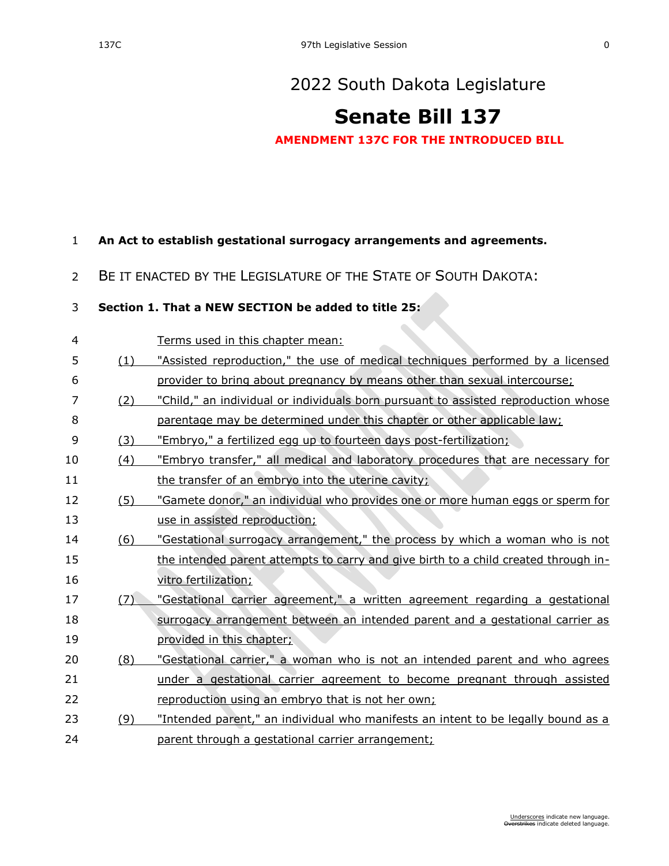# **[Senate Bill 137](https://sdlegislature.gov/Session/Bill/22999)**

**AMENDMENT 137C FOR THE INTRODUCED BILL**

#### **An Act to establish gestational surrogacy arrangements and agreements.**

#### BE IT ENACTED BY THE LEGISLATURE OF THE STATE OF SOUTH DAKOTA:

### **Section 1. That a NEW SECTION be added to title 25:**

| 4  |     | Terms used in this chapter mean:                                                    |  |  |  |
|----|-----|-------------------------------------------------------------------------------------|--|--|--|
| 5  | (1) | "Assisted reproduction," the use of medical techniques performed by a licensed      |  |  |  |
| 6  |     | provider to bring about pregnancy by means other than sexual intercourse;           |  |  |  |
| 7  | (2) | "Child," an individual or individuals born pursuant to assisted reproduction whose  |  |  |  |
| 8  |     | parentage may be determined under this chapter or other applicable law;             |  |  |  |
| 9  | (3) | "Embryo," a fertilized egg up to fourteen days post-fertilization;                  |  |  |  |
| 10 | (4) | "Embryo transfer," all medical and laboratory procedures that are necessary for     |  |  |  |
| 11 |     | the transfer of an embryo into the uterine cavity;                                  |  |  |  |
| 12 | (5) | "Gamete donor," an individual who provides one or more human eggs or sperm for      |  |  |  |
| 13 |     | use in assisted reproduction;                                                       |  |  |  |
| 14 | (6) | "Gestational surrogacy arrangement," the process by which a woman who is not        |  |  |  |
| 15 |     | the intended parent attempts to carry and give birth to a child created through in- |  |  |  |
| 16 |     | vitro fertilization;                                                                |  |  |  |
| 17 | (7) | "Gestational carrier agreement," a written agreement regarding a gestational        |  |  |  |
| 18 |     | surrogacy arrangement between an intended parent and a gestational carrier as       |  |  |  |
| 19 |     | provided in this chapter;                                                           |  |  |  |
| 20 | (8) | "Gestational carrier," a woman who is not an intended parent and who agrees         |  |  |  |
| 21 |     | under a gestational carrier agreement to become pregnant through assisted           |  |  |  |
| 22 |     | reproduction using an embryo that is not her own;                                   |  |  |  |
| 23 | (9) | "Intended parent," an individual who manifests an intent to be legally bound as a   |  |  |  |
| 24 |     | parent through a gestational carrier arrangement;                                   |  |  |  |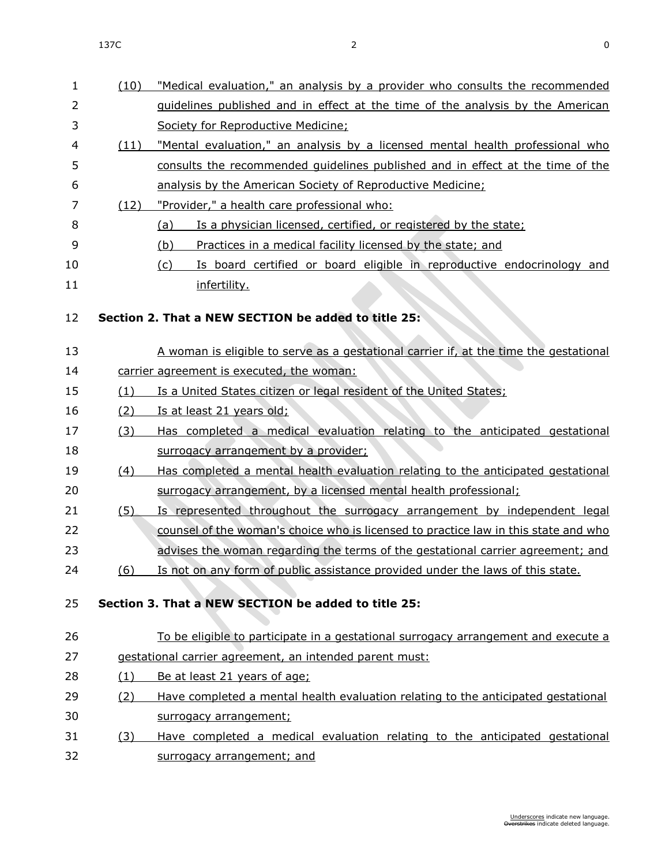| $\mathbf{1}$ | (10)       | "Medical evaluation," an analysis by a provider who consults the recommended          |  |  |  |
|--------------|------------|---------------------------------------------------------------------------------------|--|--|--|
| 2            |            | <u>guidelines published and in effect at the time of the analysis by the American</u> |  |  |  |
| 3            |            | Society for Reproductive Medicine;                                                    |  |  |  |
| 4            | (11)       | "Mental evaluation," an analysis by a licensed mental health professional who         |  |  |  |
| 5            |            | consults the recommended quidelines published and in effect at the time of the        |  |  |  |
| 6            |            | analysis by the American Society of Reproductive Medicine;                            |  |  |  |
| 7            | (12)       | "Provider," a health care professional who:                                           |  |  |  |
| 8            |            | Is a physician licensed, certified, or registered by the state;<br>(a)                |  |  |  |
| 9            |            | (b)<br>Practices in a medical facility licensed by the state; and                     |  |  |  |
| 10           |            | Is board certified or board eligible in reproductive endocrinology and<br>(c)         |  |  |  |
| 11           |            | infertility.                                                                          |  |  |  |
| 12           |            | Section 2. That a NEW SECTION be added to title 25:                                   |  |  |  |
| 13           |            | A woman is eligible to serve as a gestational carrier if, at the time the gestational |  |  |  |
| 14           |            | carrier agreement is executed, the woman:                                             |  |  |  |
| 15           | (1)        | Is a United States citizen or legal resident of the United States;                    |  |  |  |
| 16           | (2)        | Is at least 21 years old;                                                             |  |  |  |
| 17           | (3)        | Has completed a medical evaluation relating to the anticipated gestational            |  |  |  |
| 18           |            | surrogacy arrangement by a provider;                                                  |  |  |  |
| 19           | (4)        | Has completed a mental health evaluation relating to the anticipated gestational      |  |  |  |
| 20           |            | surrogacy arrangement, by a licensed mental health professional;                      |  |  |  |
| 21           | (5)        | Is represented throughout the surrogacy arrangement by independent legal              |  |  |  |
| 22           |            | counsel of the woman's choice who is licensed to practice law in this state and who   |  |  |  |
| 23           |            | advises the woman regarding the terms of the gestational carrier agreement; and       |  |  |  |
| 24           | (6)        | Is not on any form of public assistance provided under the laws of this state.        |  |  |  |
| 25           |            | Section 3. That a NEW SECTION be added to title 25:                                   |  |  |  |
| 26           |            | To be eligible to participate in a gestational surrogacy arrangement and execute a    |  |  |  |
| 27           |            | gestational carrier agreement, an intended parent must:                               |  |  |  |
| 28           | (1)        | Be at least 21 years of age;                                                          |  |  |  |
| 29           | <u>(2)</u> | Have completed a mental health evaluation relating to the anticipated gestational     |  |  |  |
| 30           |            | surrogacy arrangement;                                                                |  |  |  |
| 31           | (3)        | Have completed a medical evaluation relating to the anticipated gestational           |  |  |  |
| 32           |            | surrogacy arrangement; and                                                            |  |  |  |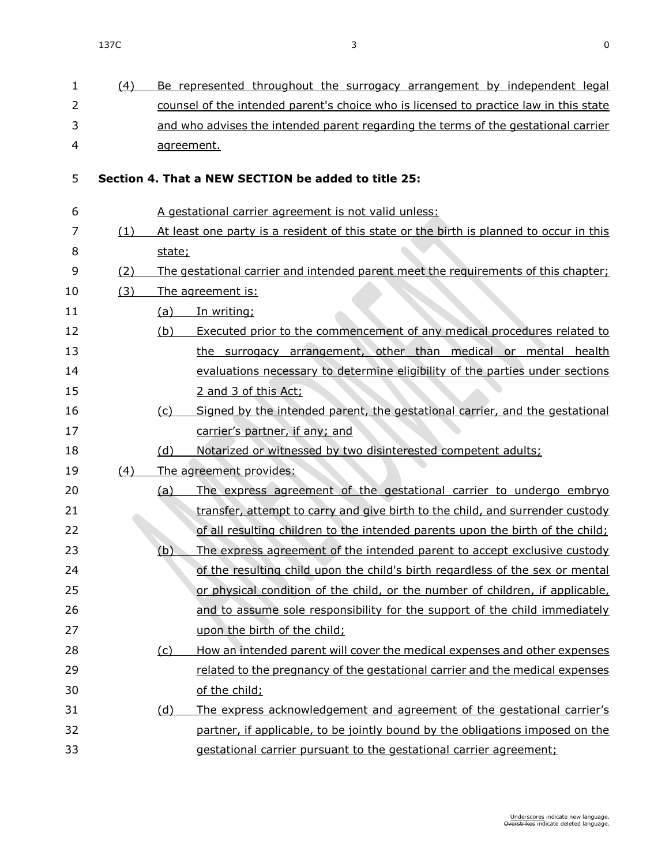| 1                        | (4)        | Be represented throughout the surrogacy arrangement by independent legal                |  |  |  |
|--------------------------|------------|-----------------------------------------------------------------------------------------|--|--|--|
| $\overline{2}$           |            | counsel of the intended parent's choice who is licensed to practice law in this state   |  |  |  |
| 3                        |            | and who advises the intended parent regarding the terms of the gestational carrier      |  |  |  |
| $\overline{\mathcal{L}}$ |            | agreement.                                                                              |  |  |  |
| 5                        |            | Section 4. That a NEW SECTION be added to title 25:                                     |  |  |  |
| 6                        |            | A gestational carrier agreement is not valid unless:                                    |  |  |  |
| 7                        | <u>(1)</u> | At least one party is a resident of this state or the birth is planned to occur in this |  |  |  |
| 8                        |            | state;                                                                                  |  |  |  |
| 9                        | (2)        | The gestational carrier and intended parent meet the requirements of this chapter;      |  |  |  |
| 10                       | (3)        | The agreement is:                                                                       |  |  |  |
| 11                       |            | In writing;<br>(a)                                                                      |  |  |  |
| 12                       |            | Executed prior to the commencement of any medical procedures related to<br>(b)          |  |  |  |
| 13                       |            | the surrogacy arrangement, other than medical or mental health                          |  |  |  |
| 14                       |            | evaluations necessary to determine eligibility of the parties under sections            |  |  |  |
| 15                       |            | 2 and 3 of this Act;                                                                    |  |  |  |
| 16                       |            | Signed by the intended parent, the gestational carrier, and the gestational<br>(c)      |  |  |  |
| 17                       |            | carrier's partner, if any; and                                                          |  |  |  |
| 18                       |            | Notarized or witnessed by two disinterested competent adults;<br>(d)                    |  |  |  |
| 19                       | (4)        | The agreement provides:                                                                 |  |  |  |
| 20                       |            | The express agreement of the gestational carrier to undergo embryo<br>(a)               |  |  |  |
| 21                       |            | transfer, attempt to carry and give birth to the child, and surrender custody           |  |  |  |
| 22                       |            | of all resulting children to the intended parents upon the birth of the child;          |  |  |  |
| 23                       |            | The express agreement of the intended parent to accept exclusive custody<br>(b)         |  |  |  |
| 24                       |            | of the resulting child upon the child's birth regardless of the sex or mental           |  |  |  |
| 25                       |            | or physical condition of the child, or the number of children, if applicable,           |  |  |  |
| 26                       |            | and to assume sole responsibility for the support of the child immediately              |  |  |  |
| 27                       |            | upon the birth of the child;                                                            |  |  |  |
| 28                       |            | How an intended parent will cover the medical expenses and other expenses<br>(c)        |  |  |  |
| 29                       |            | related to the pregnancy of the gestational carrier and the medical expenses            |  |  |  |
| 30                       |            | of the child;                                                                           |  |  |  |
| 31                       |            | The express acknowledgement and agreement of the gestational carrier's<br><u>(d)</u>    |  |  |  |
| 32                       |            | partner, if applicable, to be jointly bound by the obligations imposed on the           |  |  |  |
| 33                       |            | gestational carrier pursuant to the gestational carrier agreement;                      |  |  |  |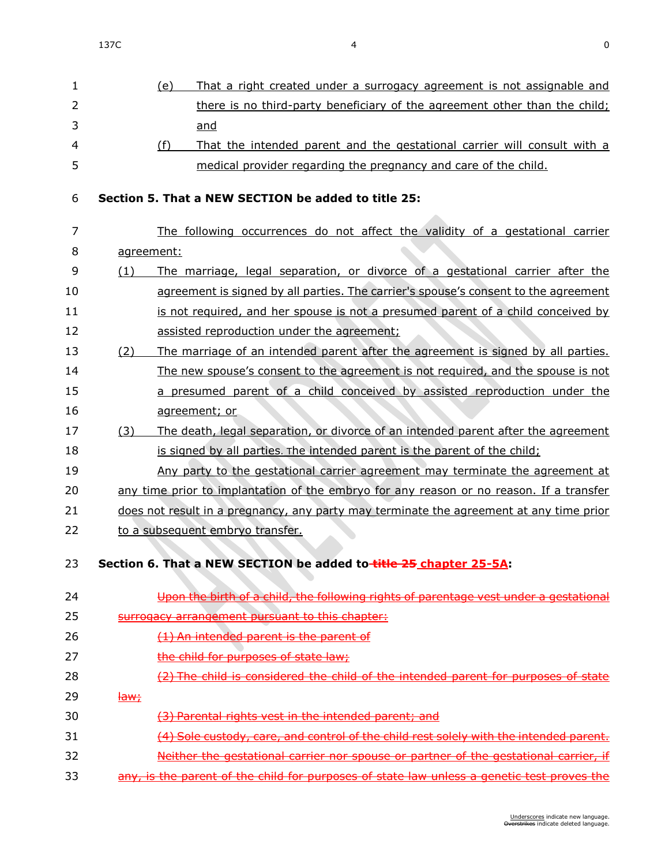| 1              |                            | (e)        | That a right created under a surrogacy agreement is not assignable and                     |  |  |
|----------------|----------------------------|------------|--------------------------------------------------------------------------------------------|--|--|
| $\overline{2}$ |                            |            | there is no third-party beneficiary of the agreement other than the child;                 |  |  |
| 3              |                            |            | and                                                                                        |  |  |
| $\overline{4}$ |                            | (f)        | That the intended parent and the gestational carrier will consult with a                   |  |  |
| 5              |                            |            | medical provider regarding the pregnancy and care of the child.                            |  |  |
|                |                            |            |                                                                                            |  |  |
| 6              |                            |            | Section 5. That a NEW SECTION be added to title 25:                                        |  |  |
| $\overline{7}$ |                            |            | The following occurrences do not affect the validity of a gestational carrier              |  |  |
| 8              |                            | agreement: |                                                                                            |  |  |
| 9              | (1)                        |            | The marriage, legal separation, or divorce of a gestational carrier after the              |  |  |
| 10             |                            |            | agreement is signed by all parties. The carrier's spouse's consent to the agreement        |  |  |
| 11             |                            |            | is not required, and her spouse is not a presumed parent of a child conceived by           |  |  |
| 12             |                            |            | assisted reproduction under the agreement;                                                 |  |  |
| 13             | (2)                        |            | The marriage of an intended parent after the agreement is signed by all parties.           |  |  |
| 14             |                            |            | The new spouse's consent to the agreement is not required, and the spouse is not           |  |  |
| 15             |                            |            | a presumed parent of a child conceived by assisted reproduction under the                  |  |  |
| 16             |                            |            | agreement; or                                                                              |  |  |
| 17             | (3)                        |            | The death, legal separation, or divorce of an intended parent after the agreement          |  |  |
| 18             |                            |            | is signed by all parties. The intended parent is the parent of the child;                  |  |  |
| 19             |                            |            | Any party to the gestational carrier agreement may terminate the agreement at              |  |  |
| 20             |                            |            | any time prior to implantation of the embryo for any reason or no reason. If a transfer    |  |  |
| 21             |                            |            | does not result in a pregnancy, any party may terminate the agreement at any time prior    |  |  |
| 22             |                            |            | to a subsequent embryo transfer.                                                           |  |  |
| 23.            |                            |            | Section 6. That a NEW SECTION be added to-title 25 chapter 25-5A:                          |  |  |
|                |                            |            |                                                                                            |  |  |
| 24             |                            |            | Upon the birth of a child, the following rights of parentage vest under a gestational      |  |  |
| 25             |                            |            | surrogacy arrangement pursuant to this chapter:                                            |  |  |
| 26             |                            |            | (1) An intended parent is the parent of                                                    |  |  |
| 27             |                            |            | the child for purposes of state law;                                                       |  |  |
| 28             |                            |            | (2) The child is considered the child of the intended parent for purposes of state         |  |  |
| 29             | $\frac{$ Haw $\frac{1}{2}$ |            |                                                                                            |  |  |
| 30             |                            |            | (3) Parental rights vest in the intended parent; and                                       |  |  |
| 31             |                            |            | (4) Sole custody, care, and control of the child rest solely with the intended parent.     |  |  |
| 32             |                            |            | Neither the gestational carrier nor spouse or partner of the gestational carrier, if       |  |  |
| 33             |                            |            | any, is the parent of the child for purposes of state law unless a genetic test proves the |  |  |